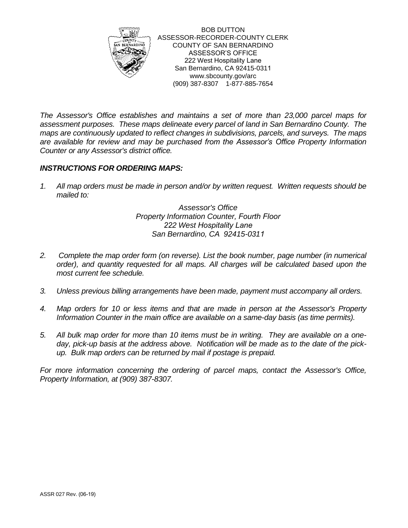

BOB DUTTON ASSESSOR-RECORDER-COUNTY CLERK COUNTY OF SAN BERNARDINO ASSESSOR'S OFFICE 222 West Hospitality Lane San Bernardino, CA 92415-0311 www.sbcounty.gov/arc (909) 387-8307 1-877-885-7654

*The Assessor's Office establishes and maintains a set of more than 23,000 parcel maps for assessment purposes. These maps delineate every parcel of land in San Bernardino County. The maps are continuously updated to reflect changes in subdivisions, parcels, and surveys. The maps are available for review and may be purchased from the Assessor's Office Property Information Counter or any Assessor's district office.* 

## *INSTRUCTIONS FOR ORDERING MAPS:*

*1. All map orders must be made in person and/or by written request. Written requests should be mailed to:*

> *Assessor's Office Property Information Counter, Fourth Floor 222 West Hospitality Lane San Bernardino, CA 92415-0311*

- *2. Complete the map order form (on reverse). List the book number, page number (in numerical order), and quantity requested for all maps. All charges will be calculated based upon the most current fee schedule.*
- *3. Unless previous billing arrangements have been made, payment must accompany all orders.*
- *4. Map orders for 10 or less items and that are made in person at the Assessor's Property Information Counter in the main office are available on a same-day basis (as time permits).*
- *5. All bulk map order for more than 10 items must be in writing. They are available on a oneday, pick-up basis at the address above. Notification will be made as to the date of the pickup. Bulk map orders can be returned by mail if postage is prepaid.*

*For more information concerning the ordering of parcel maps, contact the Assessor's Office, Property Information, at (909) 387-8307.*